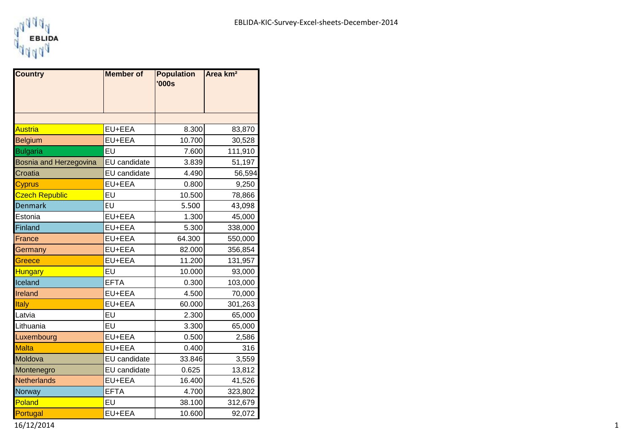

| <b>Country</b>         | <b>Member</b> of    | <b>Population</b><br>'000s | Area km <sup>2</sup> |  |
|------------------------|---------------------|----------------------------|----------------------|--|
|                        |                     |                            |                      |  |
| <b>Austria</b>         | EU+EEA              | 8.300                      | 83,870               |  |
| <b>Belgium</b>         | EU+EEA              | 10.700                     | 30,528               |  |
| <b>Bulgaria</b>        | EU                  | 7.600                      | 111,910              |  |
| Bosnia and Herzegovina | <b>EU</b> candidate | 3.839                      | 51,197               |  |
| Croatia                | EU candidate        | 4.490                      | 56,594               |  |
| <b>Cyprus</b>          | EU+EEA              | 0.800                      | 9,250                |  |
| <b>Czech Republic</b>  | EU                  | 10.500                     | 78,866               |  |
| <b>Denmark</b>         | EU                  | 5.500                      | 43,098               |  |
| Estonia                | EU+EEA              | 1.300                      | 45,000               |  |
| Finland                | EU+EEA              | 5.300                      | 338,000              |  |
| France                 | EU+EEA              | 64.300                     | 550,000              |  |
| Germany                | EU+EEA              | 82.000                     | 356,854              |  |
| Greece                 | EU+EEA              | 11.200                     | 131,957              |  |
| <b>Hungary</b>         | EU                  | 10.000                     | 93,000               |  |
| Iceland                | <b>EFTA</b>         | 0.300                      | 103,000              |  |
| Ireland                | EU+EEA              | 4.500                      | 70,000               |  |
| Italy                  | EU+EEA              | 60.000                     | 301,263              |  |
| Latvia                 | EU                  | 2.300                      | 65,000               |  |
| Lithuania              | EU                  | 3.300                      | 65,000               |  |
| Luxembourg             | EU+EEA              | 0.500                      | 2,586                |  |
| <b>Malta</b>           | EU+EEA              | 0.400                      | 316                  |  |
| Moldova                | EU candidate        | 33.846                     | 3,559                |  |
| Montenegro             | EU candidate        | 0.625                      | 13,812               |  |
| <b>Netherlands</b>     | EU+EEA              | 16.400                     | 41,526               |  |
| Norway                 | <b>EFTA</b>         | 4.700                      | 323,802              |  |
| Poland                 | EU                  | 38.100                     | 312,679              |  |
| Portugal               | EU+EEA              | 10.600                     | 92,072               |  |

16/12/2014 1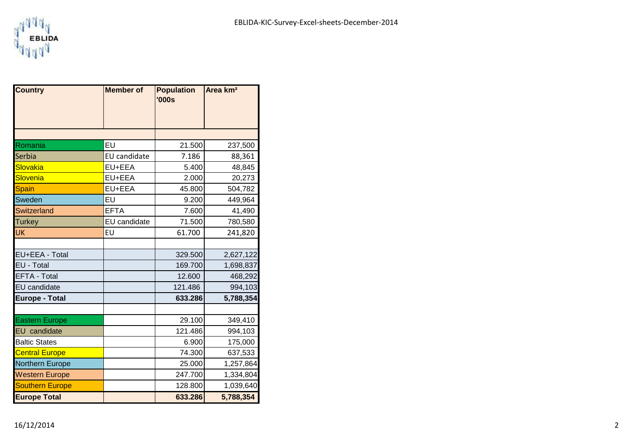

┓

| <b>Country</b>         | <b>Member of</b> | <b>Population</b><br><b>'000s</b> | Area km <sup>2</sup> |  |
|------------------------|------------------|-----------------------------------|----------------------|--|
|                        |                  |                                   |                      |  |
|                        |                  |                                   |                      |  |
|                        |                  |                                   |                      |  |
| Romania                | EU               | 21.500                            | 237,500              |  |
| Serbia                 | EU candidate     | 7.186                             | 88,361               |  |
| Slovakia               | EU+EEA           | 5.400                             | 48,845               |  |
| Slovenia               | EU+EEA           | 2.000                             | 20,273               |  |
| <b>Spain</b>           | EU+EEA           | 45.800                            | 504,782              |  |
| Sweden                 | EU               | 9.200                             | 449,964              |  |
| <b>Switzerland</b>     | <b>EFTA</b>      | 7.600                             | 41,490               |  |
| <b>Turkey</b>          | EU candidate     | 71.500                            | 780,580              |  |
| UK                     | EU               | 61.700                            | 241,820              |  |
|                        |                  |                                   |                      |  |
| EU+EEA - Total         |                  | 329.500                           | 2,627,122            |  |
| EU - Total             |                  | 169.700                           | 1,698,837            |  |
| <b>EFTA - Total</b>    |                  | 12.600                            | 468,292              |  |
| <b>EU</b> candidate    |                  | 121.486                           | 994,103              |  |
| <b>Europe - Total</b>  |                  | 633.286                           | 5,788,354            |  |
|                        |                  |                                   |                      |  |
| <b>Eastern Europe</b>  |                  | 29.100                            | 349,410              |  |
| <b>EU</b> candidate    |                  | 121.486                           | 994,103              |  |
| <b>Baltic States</b>   |                  | 6.900                             | 175,000              |  |
| <b>Central Europe</b>  |                  | 74.300                            | 637,533              |  |
| <b>Northern Europe</b> |                  | 25.000                            | 1,257,864            |  |
| <b>Western Europe</b>  |                  | 247.700                           | 1,334,804            |  |
| <b>Southern Europe</b> |                  | 128.800                           | 1,039,640            |  |
| <b>Europe Total</b>    |                  | 633.286                           | 5,788,354            |  |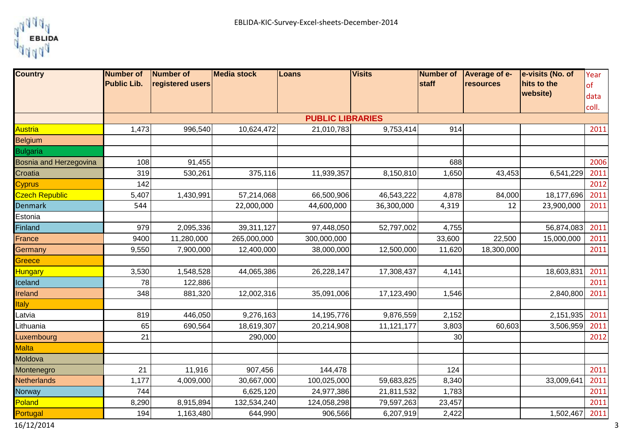

| <b>Country</b>         | <b>Number of</b><br><b>Public Lib.</b> | Number of<br>registered users | <b>Media stock</b> | Loans                   | <b>Visits</b> | Number of<br>staff | Average of e-<br>resources | e-visits (No. of<br>hits to the | Year          |
|------------------------|----------------------------------------|-------------------------------|--------------------|-------------------------|---------------|--------------------|----------------------------|---------------------------------|---------------|
|                        |                                        |                               |                    |                         |               |                    |                            | website)                        | of            |
|                        |                                        |                               |                    |                         |               |                    |                            |                                 | data<br>coll. |
|                        |                                        |                               |                    | <b>PUBLIC LIBRARIES</b> |               |                    |                            |                                 |               |
| <b>Austria</b>         | 1,473                                  | 996,540                       | 10,624,472         | 21,010,783              | 9,753,414     | 914                |                            |                                 | 2011          |
| Belgium                |                                        |                               |                    |                         |               |                    |                            |                                 |               |
| <b>Bulgaria</b>        |                                        |                               |                    |                         |               |                    |                            |                                 |               |
| Bosnia and Herzegovina | 108                                    | 91,455                        |                    |                         |               | 688                |                            |                                 | 2006          |
| Croatia                | 319                                    | 530,261                       | 375,116            | 11,939,357              | 8,150,810     | 1,650              | 43,453                     | 6,541,229                       | 2011          |
| <b>Cyprus</b>          | 142                                    |                               |                    |                         |               |                    |                            |                                 | 2012          |
| <b>Czech Republic</b>  | 5,407                                  | 1,430,991                     | 57,214,068         | 66,500,906              | 46,543,222    | 4,878              | 84,000                     | 18,177,696                      | 2011          |
| <b>Denmark</b>         | 544                                    |                               | 22,000,000         | 44,600,000              | 36,300,000    | 4,319              | 12                         | 23,900,000                      | 2011          |
| Estonia                |                                        |                               |                    |                         |               |                    |                            |                                 |               |
| <b>Finland</b>         | 979                                    | 2,095,336                     | 39,311,127         | 97,448,050              | 52,797,002    | 4,755              |                            | 56,874,083                      | 2011          |
| France                 | 9400                                   | 11,280,000                    | 265,000,000        | 300,000,000             |               | 33,600             | 22,500                     | 15,000,000                      | 2011          |
| Germany                | 9,550                                  | 7,900,000                     | 12,400,000         | 38,000,000              | 12,500,000    | 11,620             | 18,300,000                 |                                 | 2011          |
| Greece                 |                                        |                               |                    |                         |               |                    |                            |                                 |               |
| <b>Hungary</b>         | 3,530                                  | 1,548,528                     | 44,065,386         | 26,228,147              | 17,308,437    | 4,141              |                            | 18,603,831                      | 2011          |
| Iceland                | 78                                     | 122,886                       |                    |                         |               |                    |                            |                                 | 2011          |
| <b>Ireland</b>         | 348                                    | 881,320                       | 12,002,316         | 35,091,006              | 17,123,490    | 1,546              |                            | 2,840,800                       | 2011          |
| <b>Italy</b>           |                                        |                               |                    |                         |               |                    |                            |                                 |               |
| Latvia                 | 819                                    | 446,050                       | 9,276,163          | 14,195,776              | 9,876,559     | 2,152              |                            | 2,151,935                       | 2011          |
| Lithuania              | 65                                     | 690,564                       | 18,619,307         | 20,214,908              | 11,121,177    | 3,803              | 60,603                     | 3,506,959                       | 2011          |
| Luxembourg             | 21                                     |                               | 290,000            |                         |               | 30 <sub>0</sub>    |                            |                                 | 2012          |
| <b>Malta</b>           |                                        |                               |                    |                         |               |                    |                            |                                 |               |
| Moldova                |                                        |                               |                    |                         |               |                    |                            |                                 |               |
| Montenegro             | 21                                     | 11,916                        | 907,456            | 144,478                 |               | 124                |                            |                                 | 2011          |
| <b>Netherlands</b>     | 1,177                                  | 4,009,000                     | 30,667,000         | 100,025,000             | 59,683,825    | 8,340              |                            | 33,009,64                       | 2011          |
| Norway                 | 744                                    |                               | 6,625,120          | 24,977,386              | 21,811,532    | 1,783              |                            |                                 | 2011          |
| Poland                 | 8,290                                  | 8,915,894                     | 132,534,240        | 124,058,298             | 79,597,263    | 23,457             |                            |                                 | 2011          |
| Portugal               | 194                                    | 1,163,480                     | 644,990            | 906,566                 | 6,207,919     | 2,422              |                            | 1,502,467                       | 2011          |
| 16/12/2014             |                                        |                               |                    |                         |               |                    |                            |                                 |               |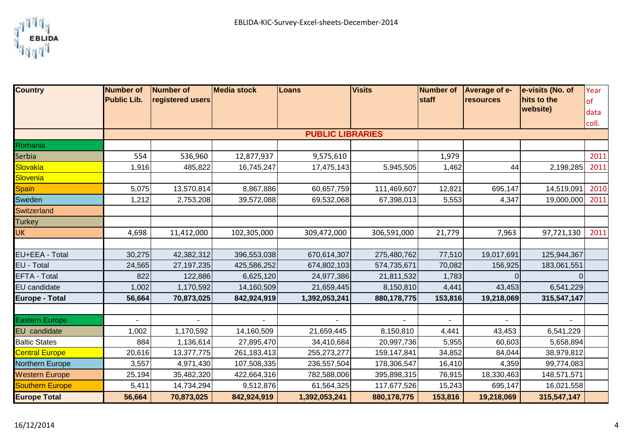

| <b>Country</b>         | <b>Number of</b>   | Number of        | <b>Media stock</b> | Loans                   | <b>Visits</b> | <b>Number of</b> | Average of e-    | e-visits (No. of | Year  |
|------------------------|--------------------|------------------|--------------------|-------------------------|---------------|------------------|------------------|------------------|-------|
|                        | <b>Public Lib.</b> | registered users |                    |                         |               | staff            | <b>resources</b> | hits to the      | of    |
|                        |                    |                  |                    |                         |               |                  |                  | website)         | data  |
|                        |                    |                  |                    |                         |               |                  |                  |                  | coll. |
|                        |                    |                  |                    | <b>PUBLIC LIBRARIES</b> |               |                  |                  |                  |       |
| Romania                |                    |                  |                    |                         |               |                  |                  |                  |       |
| <b>Serbia</b>          | 554                | 536,960          | 12,877,937         | 9,575,610               |               | 1,979            |                  |                  | 2011  |
| <b>Slovakia</b>        | 1,916              | 485,822          | 16,745,247         | 17,475,143              | 5,945,505     | 1,462            | 44               | 2,198,285        | 2011  |
| <b>Slovenia</b>        |                    |                  |                    |                         |               |                  |                  |                  |       |
| <b>Spain</b>           | 5,075              | 13,570,814       | 8,867,886          | 60,657,759              | 111,469,607   | 12,821           | 695,147          | 14,519,091       | 2010  |
| Sweden                 | 1,212              | 2,753,208        | 39,572,088         | 69,532,068              | 67,398,013    | 5,553            | 4,347            | 19,000,000       | 2011  |
| <b>Switzerland</b>     |                    |                  |                    |                         |               |                  |                  |                  |       |
| <b>Turkey</b>          |                    |                  |                    |                         |               |                  |                  |                  |       |
| <b>UK</b>              | 4,698              | 11,412,000       | 102,305,000        | 309,472,000             | 306,591,000   | 21,779           | 7,963            | 97,721,130       | 2011  |
|                        |                    |                  |                    |                         |               |                  |                  |                  |       |
| EU+EEA - Total         | 30,275             | 42,382,312       | 396,553,038        | 670,614,307             | 275,480,762   | 77,510           | 19,017,691       | 125,944,367      |       |
| EU - Total             | 24,565             | 27, 197, 235     | 425,586,252        | 674,802,103             | 574,735,671   | 70,082           | 156,925          | 183,061,551      |       |
| EFTA - Total           | 822                | 122,886          | 6,625,120          | 24,977,386              | 21,811,532    | 1,783            | $\Omega$         |                  |       |
| EU candidate           | 1,002              | 1,170,592        | 14,160,509         | 21,659,445              | 8,150,810     | 4,441            | 43,453           | 6,541,229        |       |
| <b>Europe - Total</b>  | 56,664             | 70,873,025       | 842,924,919        | 1,392,053,241           | 880,178,775   | 153,816          | 19,218,069       | 315,547,147      |       |
|                        |                    |                  |                    |                         |               |                  |                  |                  |       |
| <b>Eastern Europe</b>  |                    |                  |                    |                         |               |                  |                  |                  |       |
| EU candidate           | 1,002              | 1,170,592        | 14,160,509         | 21,659,445              | 8,150,810     | 4,441            | 43,453           | 6,541,229        |       |
| <b>Baltic States</b>   | 884                | 1,136,614        | 27,895,470         | 34,410,684              | 20,997,736    | 5,955            | 60,603           | 5,658,894        |       |
| <b>Central Europe</b>  | 20,616             | 13,377,775       | 261,183,413        | 255,273,277             | 159,147,841   | 34,852           | 84,044           | 38,979,812       |       |
| Northern Europe        | 3,557              | 4,971,430        | 107,508,335        | 236,557,504             | 178,306,547   | 16,410           | 4,359            | 99,774,083       |       |
| <b>Western Europe</b>  | 25,194             | 35,482,320       | 422,664,316        | 782,588,006             | 395,898,315   | 76,915           | 18,330,463       | 148,571,571      |       |
| <b>Southern Europe</b> | 5,411              | 14,734,294       | 9,512,876          | 61,564,325              | 117,677,526   | 15,243           | 695,147          | 16,021,558       |       |
| <b>Europe Total</b>    | 56,664             | 70,873,025       | 842,924,919        | 1,392,053,241           | 880,178,775   | 153,816          | 19,218,069       | 315,547,147      |       |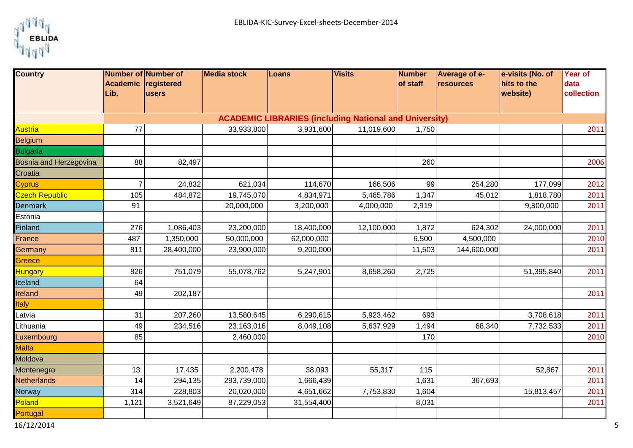

| <b>Country</b>         | Number of Number of         |            | <b>Media stock</b> | Loans                                                         | <b>Visits</b> | Number   | <b>Average of e-</b> | e-visits (No. of        | Year of            |
|------------------------|-----------------------------|------------|--------------------|---------------------------------------------------------------|---------------|----------|----------------------|-------------------------|--------------------|
|                        | Academic registered<br>Lib. | users      |                    |                                                               |               | of staff | resources            | hits to the<br>website) | data<br>collection |
|                        |                             |            |                    |                                                               |               |          |                      |                         |                    |
|                        |                             |            |                    | <b>ACADEMIC LIBRARIES (including National and University)</b> |               |          |                      |                         |                    |
| <b>Austria</b>         | 77                          |            | 33,933,800         | 3,931,600                                                     | 11,019,600    | 1,750    |                      |                         | 2011               |
| <b>Belgium</b>         |                             |            |                    |                                                               |               |          |                      |                         |                    |
| <b>Bulgaria</b>        |                             |            |                    |                                                               |               |          |                      |                         |                    |
| Bosnia and Herzegovina | 88                          | 82,497     |                    |                                                               |               | 260      |                      |                         | 2006               |
| Croatia                |                             |            |                    |                                                               |               |          |                      |                         |                    |
| <b>Cyprus</b>          | $\overline{7}$              | 24,832     | 621,034            | 114,670                                                       | 166,506       | 99       | 254,280              | 177,099                 | 2012               |
| <b>Czech Republic</b>  | 105                         | 484,872    | 19,745,070         | 4,834,971                                                     | 5,465,786     | 1,347    | 45,012               | 1,818,780               | 2011               |
| <b>Denmark</b>         | 91                          |            | 20,000,000         | 3,200,000                                                     | 4,000,000     | 2,919    |                      | 9,300,000               | 2011               |
| Estonia                |                             |            |                    |                                                               |               |          |                      |                         |                    |
| Finland                | 276                         | 1,086,403  | 23,200,000         | 18,400,000                                                    | 12,100,000    | 1,872    | 624,302              | 24,000,000              | 2011               |
| France                 | 487                         | 1,350,000  | 50,000,000         | 62,000,000                                                    |               | 6,500    | 4,500,000            |                         | 2010               |
| Germany                | 811                         | 28,400,000 | 23,900,000         | 9,200,000                                                     |               | 11,503   | 144,600,000          |                         | 2011               |
| Greece                 |                             |            |                    |                                                               |               |          |                      |                         |                    |
| Hungary                | 826                         | 751,079    | 55,078,762         | 5,247,901                                                     | 8,658,260     | 2,725    |                      | 51,395,840              | 2011               |
| Iceland                | 64                          |            |                    |                                                               |               |          |                      |                         |                    |
| Ireland                | 49                          | 202,187    |                    |                                                               |               |          |                      |                         | 2011               |
| <b>Italy</b>           |                             |            |                    |                                                               |               |          |                      |                         |                    |
| Latvia                 | 31                          | 207,260    | 13,580,645         | 6,290,615                                                     | 5,923,462     | 693      |                      | 3,708,618               | 2011               |
| Lithuania              | 49                          | 234,516    | 23,163,016         | 8,049,108                                                     | 5,637,929     | 1,494    | 68,340               | 7,732,533               | 2011               |
| Luxembourg             | 85                          |            | 2,460,000          |                                                               |               | 170      |                      |                         | 2010               |
| <b>Malta</b>           |                             |            |                    |                                                               |               |          |                      |                         |                    |
| Moldova                |                             |            |                    |                                                               |               |          |                      |                         |                    |
| Montenegro             | 13                          | 17,435     | 2,200,478          | 38,093                                                        | 55,317        | 115      |                      | 52,867                  | 2011               |
| <b>Netherlands</b>     | 14                          | 294,135    | 293,739,000        | 1,666,439                                                     |               | 1,631    | 367,693              |                         | 2011               |
| Norway                 | 314                         | 228,803    | 20,020,000         | 4,651,662                                                     | 7,753,830     | 1,604    |                      | 15,813,457              | 2011               |
| Poland                 | 1,121                       | 3,521,649  | 87,229,053         | 31,554,400                                                    |               | 8,031    |                      |                         | 2011               |
| Portugal               |                             |            |                    |                                                               |               |          |                      |                         |                    |
| 16/12/2014             |                             |            |                    |                                                               |               |          |                      |                         |                    |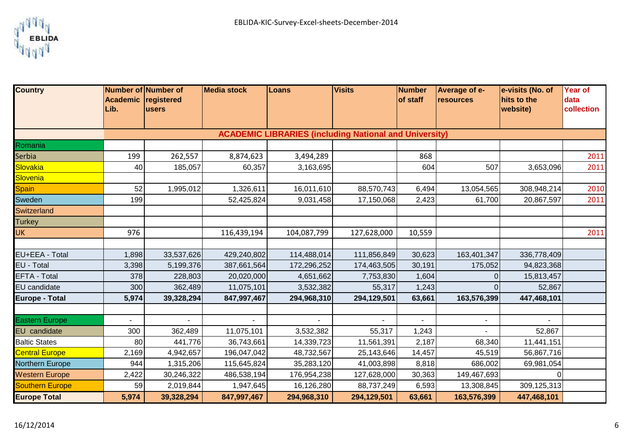

| <b>Country</b>         |                                                               | <b>Number of Number of</b> | <b>Media stock</b> | Loans       | <b>Visits</b> | Number   | <b>Average of e-</b> | e-visits (No. of | <b>Year of</b> |  |
|------------------------|---------------------------------------------------------------|----------------------------|--------------------|-------------|---------------|----------|----------------------|------------------|----------------|--|
|                        | <b>Academic</b>                                               | registered                 |                    |             |               | of staff | resources            | hits to the      | data           |  |
|                        | Lib.                                                          | <b>users</b>               |                    |             |               |          |                      | website)         | collection     |  |
|                        |                                                               |                            |                    |             |               |          |                      |                  |                |  |
|                        | <b>ACADEMIC LIBRARIES (including National and University)</b> |                            |                    |             |               |          |                      |                  |                |  |
| Romania                |                                                               |                            |                    |             |               |          |                      |                  |                |  |
| <b>Serbia</b>          | 199                                                           | 262,557                    | 8,874,623          | 3,494,289   |               | 868      |                      |                  | 2011           |  |
| Slovakia               | 40                                                            | 185,057                    | 60,357             | 3,163,695   |               | 604      | 507                  | 3,653,096        | 2011           |  |
| <b>Slovenia</b>        |                                                               |                            |                    |             |               |          |                      |                  |                |  |
| <b>Spain</b>           | 52                                                            | 1,995,012                  | 1,326,611          | 16,011,610  | 88,570,743    | 6,494    | 13,054,565           | 308,948,214      | 2010           |  |
| Sweden                 | 199                                                           |                            | 52,425,824         | 9,031,458   | 17,150,068    | 2,423    | 61,700               | 20,867,597       | 2011           |  |
| <b>Switzerland</b>     |                                                               |                            |                    |             |               |          |                      |                  |                |  |
| <b>Turkey</b>          |                                                               |                            |                    |             |               |          |                      |                  |                |  |
| UK.                    | 976                                                           |                            | 116,439,194        | 104,087,799 | 127,628,000   | 10,559   |                      |                  | 2011           |  |
|                        |                                                               |                            |                    |             |               |          |                      |                  |                |  |
| EU+EEA - Total         | 1,898                                                         | 33,537,626                 | 429,240,802        | 114,488,014 | 111,856,849   | 30,623   | 163,401,347          | 336,778,409      |                |  |
| EU - Total             | 3,398                                                         | 5,199,376                  | 387,661,564        | 172,296,252 | 174,463,505   | 30,191   | 175,052              | 94,823,368       |                |  |
| EFTA - Total           | 378                                                           | 228,803                    | 20,020,000         | 4,651,662   | 7,753,830     | 1,604    |                      | 15,813,457       |                |  |
| EU candidate           | 300                                                           | 362,489                    | 11,075,101         | 3,532,382   | 55,317        | 1,243    |                      | 52,867           |                |  |
| <b>Europe - Total</b>  | 5,974                                                         | 39,328,294                 | 847,997,467        | 294,968,310 | 294,129,501   | 63,661   | 163,576,399          | 447,468,101      |                |  |
|                        |                                                               |                            |                    |             |               |          |                      |                  |                |  |
| <b>Eastern Europe</b>  |                                                               |                            |                    |             |               |          |                      |                  |                |  |
| EU candidate           | 300                                                           | 362,489                    | 11,075,101         | 3,532,382   | 55,317        | 1,243    |                      | 52,867           |                |  |
| <b>Baltic States</b>   | 80                                                            | 441,776                    | 36,743,661         | 14,339,723  | 11,561,391    | 2,187    | 68,340               | 11,441,151       |                |  |
| <b>Central Europe</b>  | 2,169                                                         | 4,942,657                  | 196,047,042        | 48,732,567  | 25,143,646    | 14,457   | 45,519               | 56,867,716       |                |  |
| Northern Europe        | 944                                                           | 1,315,206                  | 115,645,824        | 35,283,120  | 41,003,898    | 8,818    | 686,002              | 69,981,054       |                |  |
| <b>Western Europe</b>  | 2,422                                                         | 30,246,322                 | 486,538,194        | 176,954,238 | 127,628,000   | 30,363   | 149,467,693          |                  |                |  |
| <b>Southern Europe</b> | 59                                                            | 2,019,844                  | 1,947,645          | 16,126,280  | 88,737,249    | 6,593    | 13,308,845           | 309,125,313      |                |  |
| <b>Europe Total</b>    | 5,974                                                         | 39,328,294                 | 847,997,467        | 294,968,310 | 294,129,501   | 63,661   | 163,576,399          | 447,468,101      |                |  |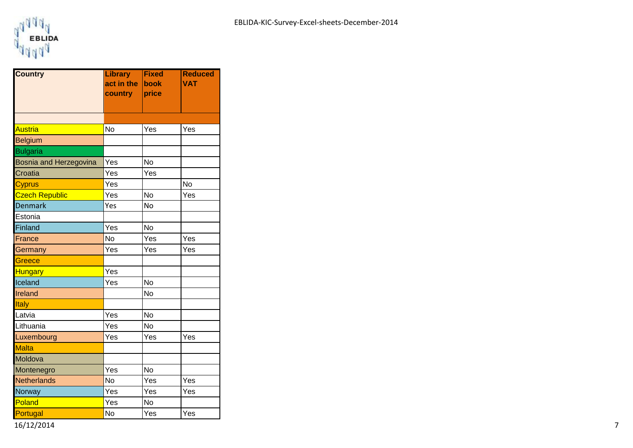

| <b>Country</b>                | <b>Library</b> | <b>Fixed</b> | <b>Reduced</b> |
|-------------------------------|----------------|--------------|----------------|
|                               | act in the     | <b>book</b>  | <b>VAT</b>     |
|                               | country        | price        |                |
|                               |                |              |                |
|                               |                |              |                |
| <b>Austria</b>                | <b>No</b>      | Yes          | Yes            |
| <b>Belgium</b>                |                |              |                |
| <b>Bulgaria</b>               |                |              |                |
| <b>Bosnia and Herzegovina</b> | Yes            | <b>No</b>    |                |
| Croatia                       | Yes            | Yes          |                |
| <b>Cyprus</b>                 | Yes            |              | No             |
| <b>Czech Republic</b>         | Yes            | <b>No</b>    | Yes            |
| <b>Denmark</b>                | Yes            | <b>No</b>    |                |
| Estonia                       |                |              |                |
| Finland                       | Yes            | <b>No</b>    |                |
| France                        | <b>No</b>      | Yes          | Yes            |
| Germany                       | Yes            | Yes          | Yes            |
| Greece                        |                |              |                |
| <b>Hungary</b>                | Yes            |              |                |
| Iceland                       | Yes            | <b>No</b>    |                |
| Ireland                       |                | <b>No</b>    |                |
| Italy                         |                |              |                |
| Latvia                        | Yes            | No           |                |
| Lithuania                     | Yes            | <b>No</b>    |                |
| Luxembourg                    | Yes            | Yes          | Yes            |
| <b>Malta</b>                  |                |              |                |
| Moldova                       |                |              |                |
| Montenegro                    | Yes            | No           |                |
| <b>Netherlands</b>            | No             | Yes          | Yes            |
| Norway                        | Yes            | Yes          | Yes            |
| Poland                        | Yes            | <b>No</b>    |                |
| Portugal                      | No             | Yes          | Yes            |

16/12/2014 7